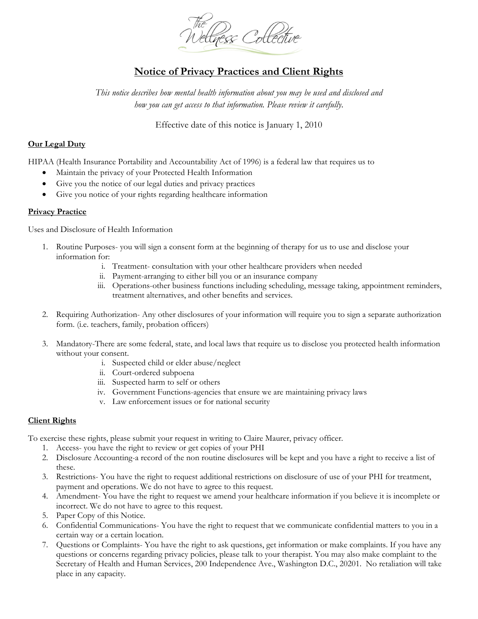

# **Notice of Privacy Practices and Client Rights**

*This notice describes how mental health information about you may be used and disclosed and how you can get access to that information. Please review it carefully*.

Effective date of this notice is January 1, 2010

### **Our Legal Duty**

HIPAA (Health Insurance Portability and Accountability Act of 1996) is a federal law that requires us to

- Maintain the privacy of your Protected Health Information
- Give you the notice of our legal duties and privacy practices
- Give you notice of your rights regarding healthcare information

#### **Privacy Practice**

Uses and Disclosure of Health Information

- 1. Routine Purposes- you will sign a consent form at the beginning of therapy for us to use and disclose your information for:
	- i. Treatment- consultation with your other healthcare providers when needed
	- ii. Payment-arranging to either bill you or an insurance company
	- iii. Operations-other business functions including scheduling, message taking, appointment reminders, treatment alternatives, and other benefits and services.
- 2. Requiring Authorization- Any other disclosures of your information will require you to sign a separate authorization form. (i.e. teachers, family, probation officers)
- 3. Mandatory-There are some federal, state, and local laws that require us to disclose you protected health information without your consent.
	- i. Suspected child or elder abuse/neglect
	- ii. Court-ordered subpoena
	- iii. Suspected harm to self or others
	- iv. Government Functions-agencies that ensure we are maintaining privacy laws
	- v. Law enforcement issues or for national security

#### **Client Rights**

To exercise these rights, please submit your request in writing to Claire Maurer, privacy officer.

- 1. Access- you have the right to review or get copies of your PHI
- 2. Disclosure Accounting-a record of the non routine disclosures will be kept and you have a right to receive a list of these.
- 3. Restrictions- You have the right to request additional restrictions on disclosure of use of your PHI for treatment, payment and operations. We do not have to agree to this request.
- 4. Amendment- You have the right to request we amend your healthcare information if you believe it is incomplete or incorrect. We do not have to agree to this request.
- 5. Paper Copy of this Notice.
- 6. Confidential Communications- You have the right to request that we communicate confidential matters to you in a certain way or a certain location.
- 7. Questions or Complaints- You have the right to ask questions, get information or make complaints. If you have any questions or concerns regarding privacy policies, please talk to your therapist. You may also make complaint to the Secretary of Health and Human Services, 200 Independence Ave., Washington D.C., 20201. No retaliation will take place in any capacity.